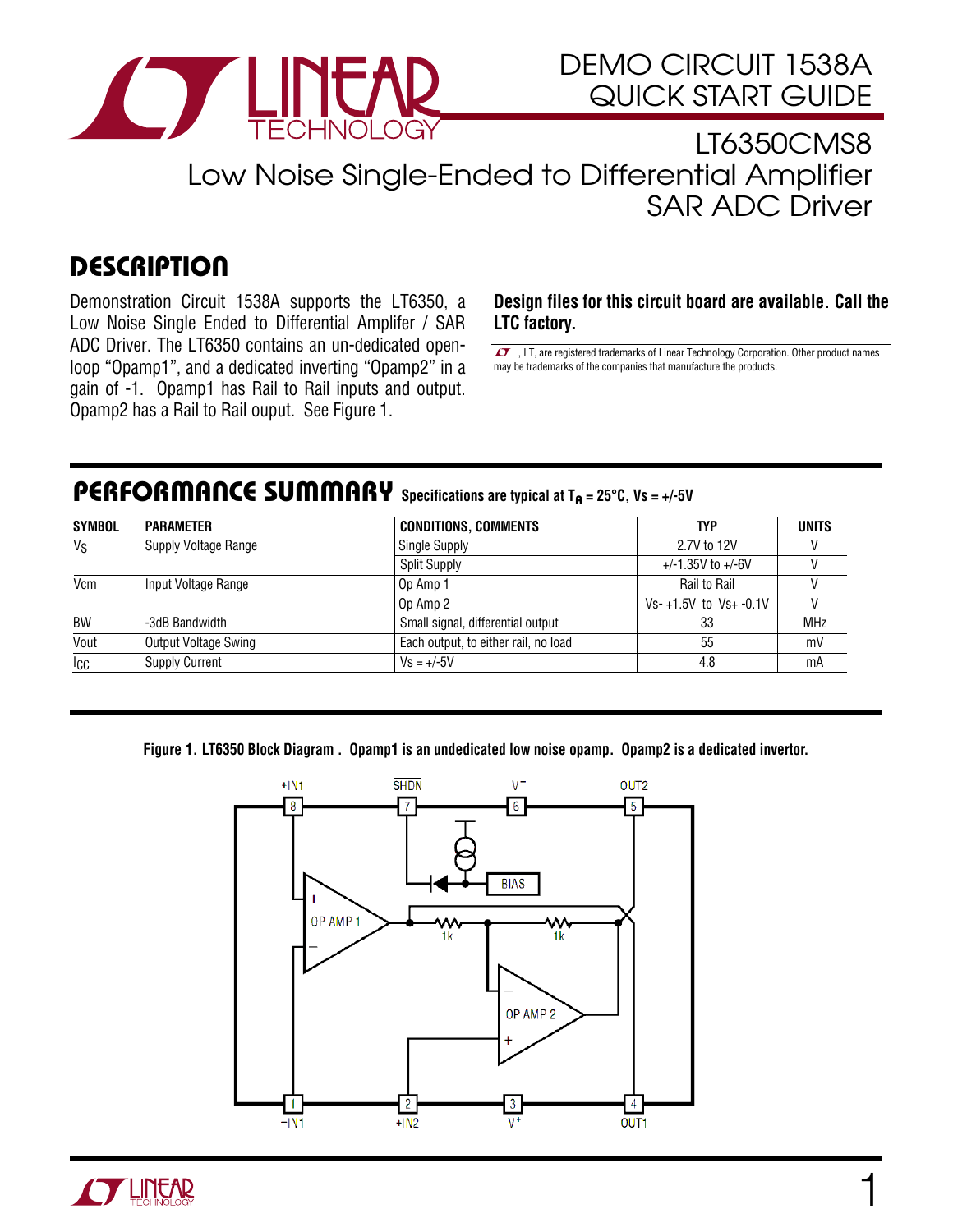

### LT6350CMS8 Low Noise Single-Ended to Differential Amplifier SAR ADC Driver

### **DESCRIPTION**

Demonstration Circuit 1538A supports the LT6350, a Low Noise Single Ended to Differential Amplifer / SAR ADC Driver. The LT6350 contains an un-dedicated openloop "Opamp1", and a dedicated inverting "Opamp2" in a gain of -1. Opamp1 has Rail to Rail inputs and output. Opamp2 has a Rail to Rail ouput. See Figure 1.

**Design files for this circuit board are available. Call the LTC factory.** 

LT, are registered trademarks of Linear Technology Corporation. Other product names may be trademarks of the companies that manufacture the products.

#### PERFORMANCE SUMMARY Specifications are typical at T<sub>A</sub> = 25°C, Vs = +/-5V

| <b>SYMBOL</b> | <b>PARAMETER</b>      | <b>CONDITIONS, COMMENTS</b>          | TYP                       | <b>UNITS</b> |
|---------------|-----------------------|--------------------------------------|---------------------------|--------------|
| $V_S$         | Supply Voltage Range  | <b>Single Supply</b>                 | 2.7V to 12V               |              |
|               |                       | <b>Split Supply</b>                  | $+/-1.35V$ to $+/-6V$     |              |
| Vcm           | Input Voltage Range   | Op Amp 1                             | Rail to Rail              |              |
|               |                       | Op Amp 2                             | $Vs-+1.5V$ to $Vs+ -0.1V$ |              |
| BW            | -3dB Bandwidth        | Small signal, differential output    | 33                        | <b>MHz</b>   |
| Vout          | Output Voltage Swing  | Each output, to either rail, no load | 55                        | mV           |
| Icc           | <b>Supply Current</b> | $Vs = +/-5V$                         | 4.8                       | mA           |

**Figure 1. LT6350 Block Diagram . Opamp1 is an undedicated low noise opamp. Opamp2 is a dedicated invertor.** 



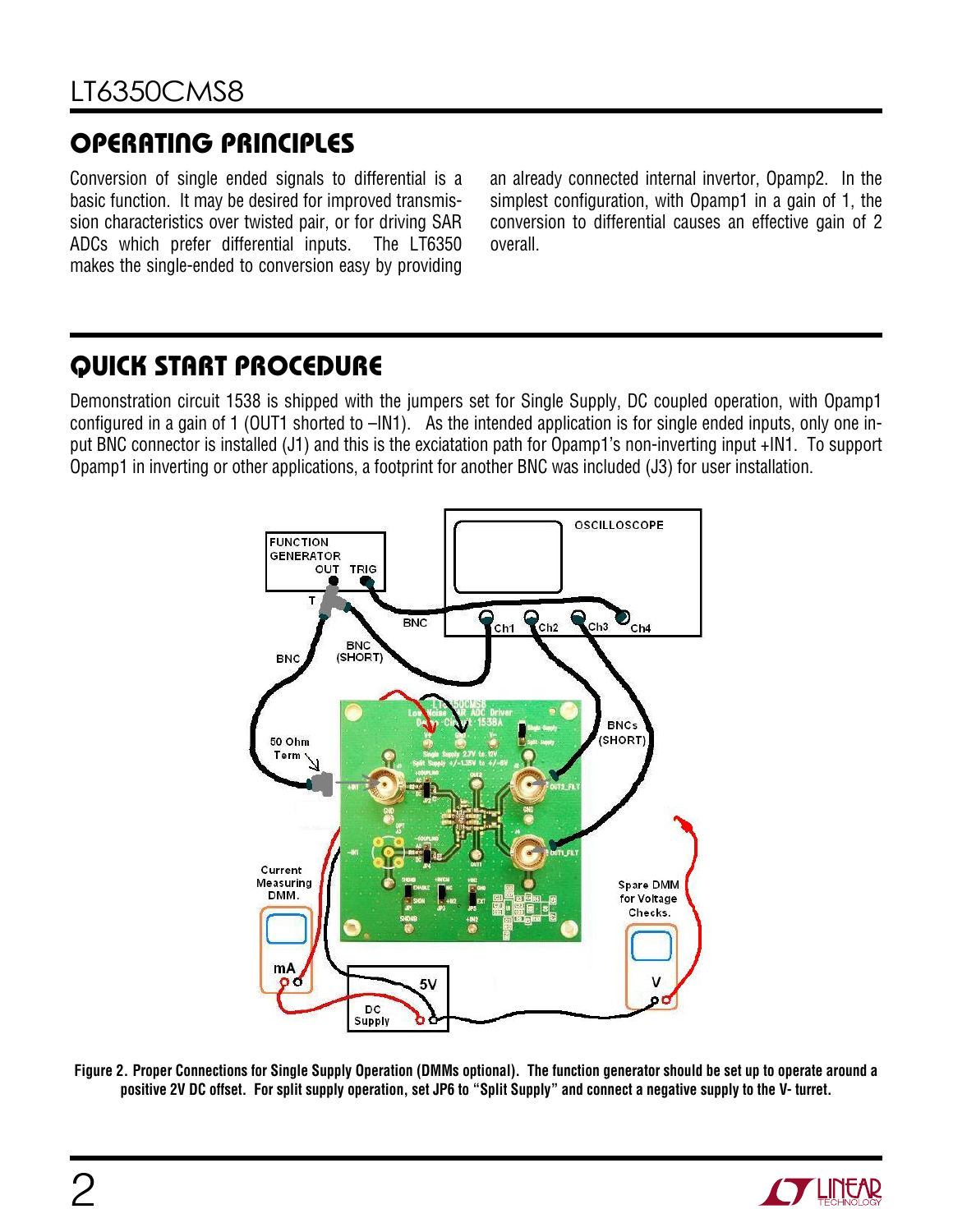## OPERATING PRINCIPLES

Conversion of single ended signals to differential is a basic function. It may be desired for improved transmission characteristics over twisted pair, or for driving SAR ADCs which prefer differential inputs. The LT6350 makes the single-ended to conversion easy by providing

an already connected internal invertor, Opamp2. In the simplest configuration, with Opamp1 in a gain of 1, the conversion to differential causes an effective gain of 2 overall.

### QUICK START PROCEDURE

Demonstration circuit 1538 is shipped with the jumpers set for Single Supply, DC coupled operation, with Opamp1 configured in a gain of 1 (OUT1 shorted to –IN1). As the intended application is for single ended inputs, only one input BNC connector is installed (J1) and this is the exciatation path for Opamp1's non-inverting input +IN1. To support Opamp1 in inverting or other applications, a footprint for another BNC was included (J3) for user installation.



**Figure 2. Proper Connections for Single Supply Operation (DMMs optional). The function generator should be set up to operate around a positive 2V DC offset. For split supply operation, set JP6 to "Split Supply" and connect a negative supply to the V- turret.** 

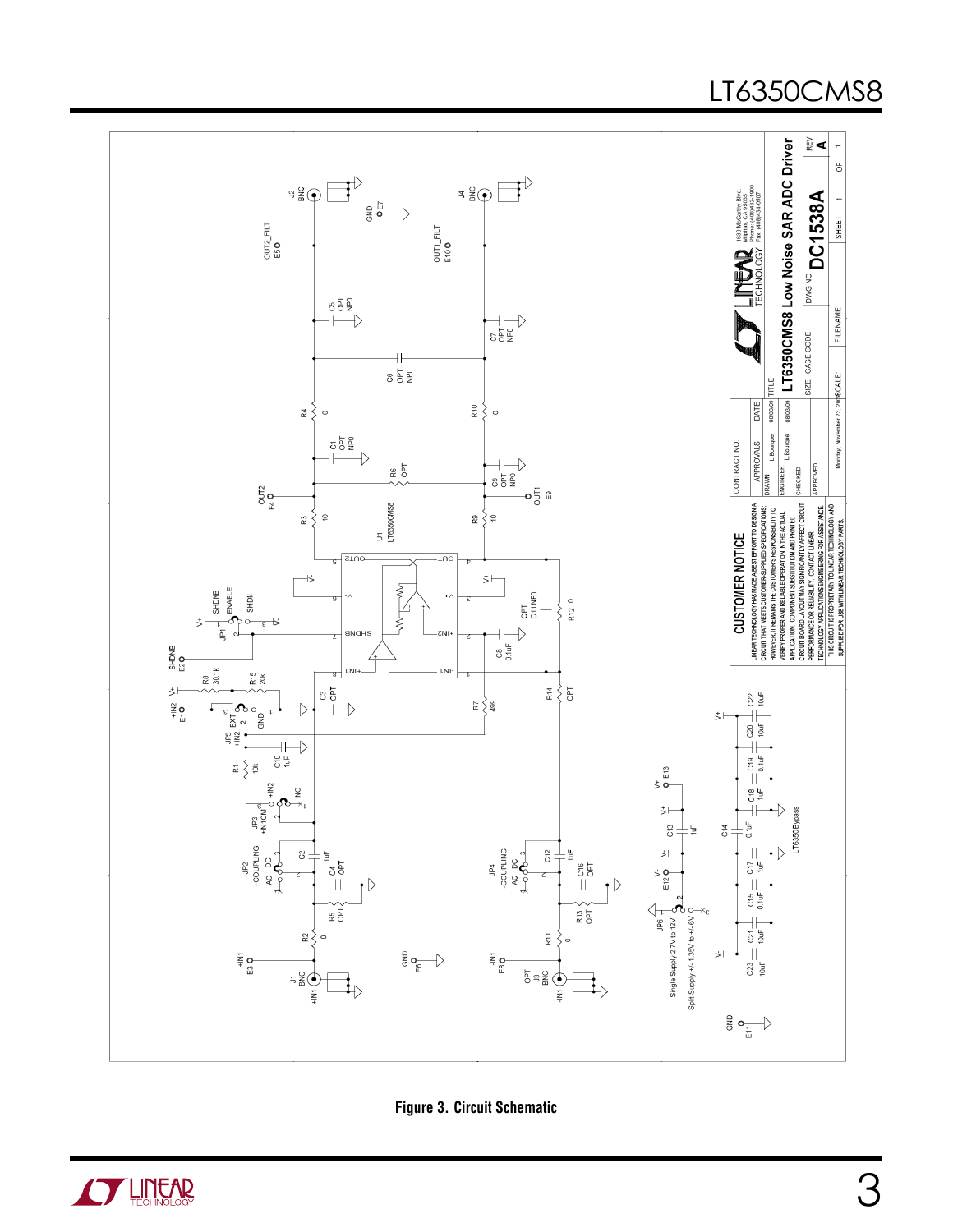# LT6350CMS8



**Figure 3. Circuit Schematic**